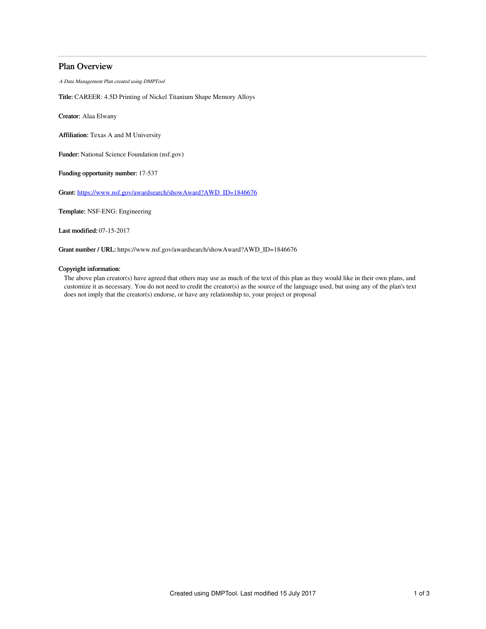# Plan Overview

A Data Management Plan created using DMPTool

Title: CAREER: 4.5D Printing of Nickel Titanium Shape Memory Alloys

Creator: Alaa Elwany

Affiliation: Texas A and M University

Funder: National Science Foundation (nsf.gov)

Funding opportunity number: 17-537

Grant: [https://www.nsf.gov/awardsearch/showAward?AWD\\_ID=1846676](https://www.nsf.gov/awardsearch/showAward?AWD_ID=1846676)

Template: NSF-ENG: Engineering

Last modified: 07-15-2017

Grant number / URL: https://www.nsf.gov/awardsearch/showAward?AWD\_ID=1846676

## Copyright information:

The above plan creator(s) have agreed that others may use as much of the text of this plan as they would like in their own plans, and customize it as necessary. You do not need to credit the creator(s) as the source of the language used, but using any of the plan's text does not imply that the creator(s) endorse, or have any relationship to, your project or proposal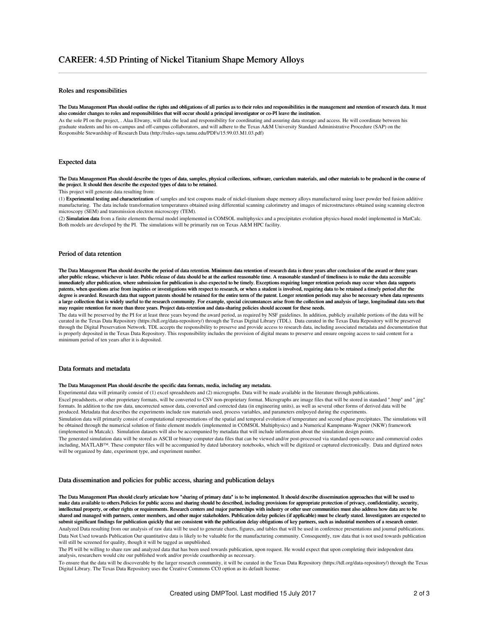## Roles and responsibilities

#### The Data Management Plan should outline the rights and obligations of all parties as to their roles and responsibilities in the management and retention of research data. It must also consider changes to roles and responsibilities that will occur should a principal investigator or co-PI leave the institution.

As the sole PI on the project, . Alaa Elwany, will take the lead and responsibility for coordinating and assuring data storage and access. He will coordinate between his graduate students and his on-campus and off-campus collaborators, and will adhere to the Texas A&M University Standard Administrative Procedure (SAP) on the Responsible Stewardship of Research Data (http://rules-saps.tamu.edu/PDFs/15.99.03.M1.03.pdf)

## Expected data

The Data Management Plan should describe the types of data, samples, physical collections, software, curriculum materials, and other materials to be produced in the course of the project. It should then describe the expected types of data to be retained.

This project will generate data resulting from:

(1) Experimental testing and characterization of samples and test coupons made of nickel-titanium shape memory alloys manufactured using laser powder bed fusion additive manufacturing. The data include transformation temperatures obtained using differential scanning calorimetry and images of microstructures obtained using scanning electron microscopy (SEM) and transmission electron microscopy (TEM).

(2) Simulation data from a finite elements thermal model implemented in COMSOL multiphysics and a precipitates evolution physics-based model implemented in MatCalc. Both models are developed by the PI. The simulations will be primarily run on Texas A&M HPC facility.

### Period of data retention

The Data Management Plan should describe the period of data retention. Minimum data retention of research data is three years after conclusion of the award or three years after public release, whichever is later. Public release of data should be at the earliest reasonable time. A reasonable standard of timeliness is to make the data accessible immediately after publication, where submission for publication is also expected to be timely. Exceptions requiring longer retention periods may occur when data supports patents, when questions arise from inquiries or investigations with respect to research, or when a student is involved, requiring data to be retained a timely period after the degree is awarded. Research data that support patents should be retained for the entire term of the patent. Longer retention periods may also be necessary when data represents a large collection that is widely useful to the research community. For example, special circumstances arise from the collection and analysis of large, longitudinal data sets that may require retention for more than three years. Project data-retention and data-sharing policies should account for these needs.

The data will be preserved by the PI for at least three years beyond the award period, as required by NSF guidelines. In addition, publicly available portions of the data will be curated in the Texas Data Repository (https://tdl.org/data-repository/) through the Texas Digital Library (TDL). Data curated in the Texas Data Repository will be preserved through the Digital Preservation Network. TDL accepts the responsibility to preserve and provide access to research data, including associated metadata and documentation that is properly deposited in the Texas Data Repository. This responsibility includes the provision of digital means to preserve and ensure ongoing access to said content for a minimum period of ten years after it is deposited.

### Data formats and metadata

#### The Data Management Plan should describe the specific data formats, media, including any metadata.

Experimental data will primarily consist of (1) excel spreadsheets and (2) micrographs. Data will be made available in the literature through publications.

Excel preadsheets, or other proprietary formats, will be converted to CSV non-proprietary format. Micrographs are image files that will be stored in standard ".bmp" and ".jpg" formats. In addition to the raw data, uncorrected sensor data, converted and corrected data (in engineering units), as well as several other forms of derived data will be produced. Metadata that describes the experiments include raw materials used, process variables, and parameters emlpoyed during the experiments.

Simulation data will primarily consist of computational representations of the spatial and temporal evolution of temperature and second phase precipitates. The simulations will be obtained through the numerical solution of finite element models (implemented in COMSOL Multiphysics) and a Numerical Kampmann-Wagner (NKW) framework (implemented in Matcalc). Simulation datasets will also be accompanied by metadata that will include information about the simulation design points.

The generated simulation data will be stored as ASCII or binary computer data files that can be viewed and/or post-processed via standard open-source and commercial codes including, MATLAB™. These computer files will be accompanied by dated laboratory notebooks, which will be digitized or captured electronically. Data and digtized notes will be organized by date, experiment type, and experiment number.

#### Data dissemination and policies for public access, sharing and publication delays

The Data Management Plan should clearly articulate how "sharing of primary data" is to be implemented. It should describe dissemination approaches that will be used to make data available to others.Policies for public access and sharing should be described, including provisions for appropriate protection of privacy, confidentiality, security, intellectual property, or other rights or requirements. Research centers and major partnerships with industry or other user communities must also address how data are to be shared and managed with partners, center members, and other major stakeholders. Publication delay policies (if applicable) must be clearly stated. Investigators are expected to submit significant findings for publication quickly that are consistent with the publication delay obligations of key partners, such as industrial members of a research center. Analyzed Data resulting from our analysis of raw data will be used to generate charts, figures, and tables that will be used in conference presentations and journal publications. Data Not Used towards Publication Our quantitative data is likely to be valuable for the manufacturing community. Consequently, raw data that is not used towards publication will still be screened for quality, though it will be tagged as unpublished.

The PI will be willing to share raw and analyzed data that has been used towards publication, upon request. He would expect that upon completing their independent data analysis, researchers would cite our published work and/or provide coauthorship as necessary.

To ensure that the data will be discoverable by the larger research community, it will be curated in the Texas Data Repository (https://tdl.org/data-repository/) through the Texas Digital Library. The Texas Data Repository uses the Creative Commons CC0 option as its default license.